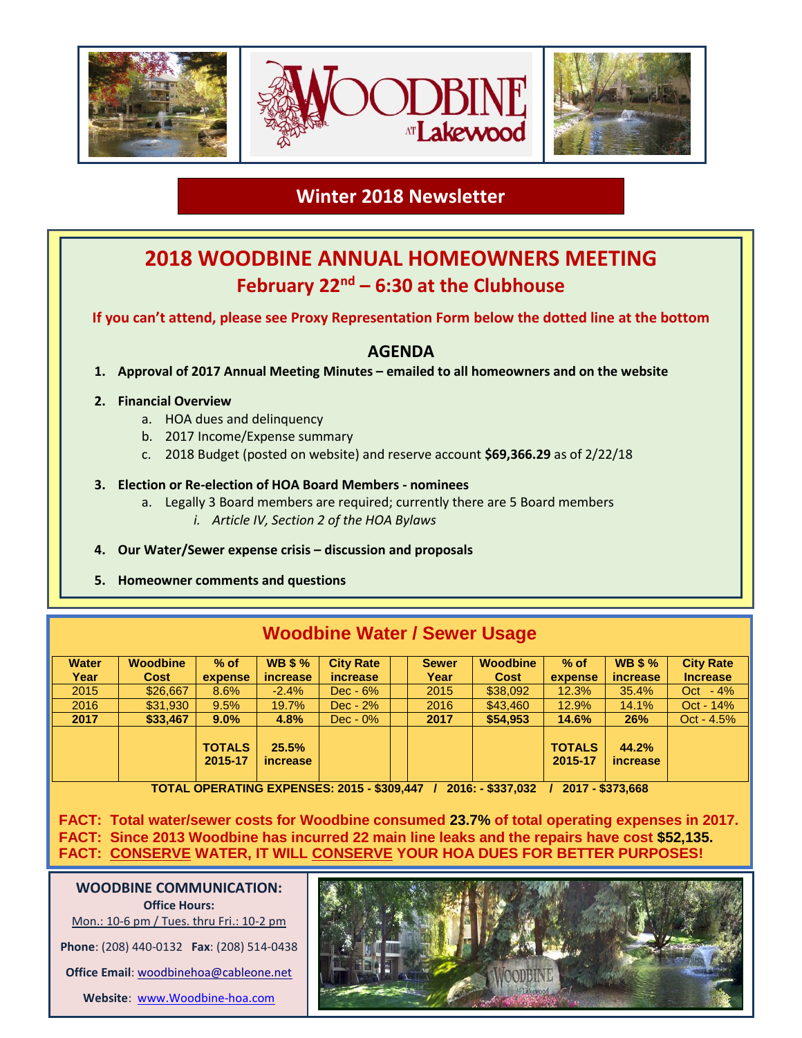

# **Winter 2018 Newsletter**

# **2018 WOODBINE ANNUAL HOMEOWNERS MEETING February 22nd – 6:30 at the Clubhouse**

**If you can't attend, please see Proxy Representation Form below the dotted line at the bottom**

## **AGENDA**

**1. Approval of 2017 Annual Meeting Minutes – emailed to all homeowners and on the website**

### **2. Financial Overview**

- a. HOA dues and delinquency
- b. 2017 Income/Expense summary
- c. 2018 Budget (posted on website) and reserve account **\$69,366.29** as of 2/22/18

### **3. Election or Re-election of HOA Board Members - nominees**

- a. Legally 3 Board members are required; currently there are 5 Board members *i. Article IV, Section 2 of the HOA Bylaws*
- **4. Our Water/Sewer expense crisis – discussion and proposals**
- **5. Homeowner comments and questions**

| <b><i>INCOUDING WATER I SEWER USAGE</i></b> |                 |                          |                          |                  |  |              |                 |                          |                          |                  |  |
|---------------------------------------------|-----------------|--------------------------|--------------------------|------------------|--|--------------|-----------------|--------------------------|--------------------------|------------------|--|
| <b>Water</b>                                | <b>Woodbine</b> | $%$ of                   | <b>WB \$%</b>            | <b>City Rate</b> |  | <b>Sewer</b> | <b>Woodbine</b> | $%$ of                   | <b>WB \$%</b>            | <b>City Rate</b> |  |
| Year                                        | <b>Cost</b>     | expense                  | increase                 | <i>increase</i>  |  | Year         | Cost            | expense                  | <i>increase</i>          | <b>Increase</b>  |  |
| 2015                                        | \$26,667        | 8.6%                     | $-2.4%$                  | $Dec - 6%$       |  | 2015         | \$38,092        | 12.3%                    | 35.4%                    | Oct $-4\%$       |  |
| 2016                                        | \$31,930        | 9.5%                     | 19.7%                    | $Dec - 2%$       |  | 2016         | \$43,460        | 12.9%                    | 14.1%                    | Oct - $14%$      |  |
| 2017                                        | \$33,467        | $9.0\%$                  | 4.8%                     | $Dec - 0\%$      |  | 2017         | \$54,953        | 14.6%                    | 26%                      | $Oct - 4.5%$     |  |
|                                             |                 | <b>TOTALS</b><br>2015-17 | 25.5%<br><i>increase</i> |                  |  |              |                 | <b>TOTALS</b><br>2015-17 | 44.2%<br><i>increase</i> |                  |  |

**TOTAL OPERATING EXPENSES: 2015 - \$309,447 / 2016: - \$337,032 / 2017 - \$373,668**

**FACT: Total water/sewer costs for Woodbine consumed 23.7% of total operating expenses in 2017. FACT: Since 2013 Woodbine has incurred 22 main line leaks and the repairs have cost \$52,135. FACT: CONSERVE WATER, IT WILL CONSERVE YOUR HOA DUES FOR BETTER PURPOSES!**

**WOODBINE COMMUNICATION: Office Hours:** Mon.: 10-6 pm / Tues. thru Fri.: 10-2 pm

**Phone**: (208) 440-0132 **Fax**: (208) 514-0438

**Office Email**: [woodbinehoa@cableone.net](mailto:woodbinehoa@cableone.net)

**Website**: [www.Woodbine-hoa.com](http://www.woodbine-hoa.com/)



# **Woodbine Water / Sewer Usage**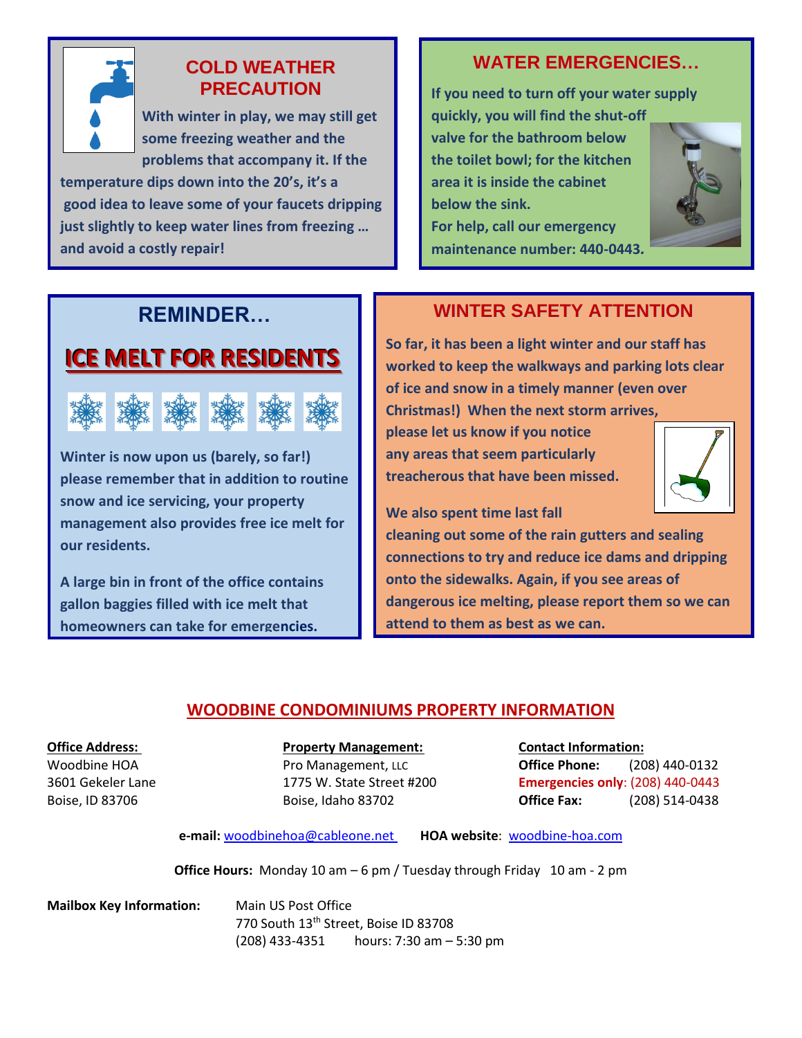

## **COLD WEATHER PRECAUTION**

 **With winter in play, we may still get some freezing weather and the problems that accompany it. If the** 

**temperature dips down into the 20's, it's a good idea to leave some of your faucets dripping just slightly to keep water lines from freezing … and avoid a costly repair!** 

# **WATER EMERGENCIES…**

**If you need to turn off your water supply quickly, you will find the shut-off valve for the bathroom below the toilet bowl; for the kitchen area it is inside the cabinet below the sink. For help, call our emergency maintenance number: 440-0443***.*



# **REMINDER…**

# **ICE MELT FOR RESIDENTS**



**Winter is now upon us (barely, so far!) please remember that in addition to routine snow and ice servicing, your property management also provides free ice melt for our residents.** 

**A large bin in front of the office contains gallon baggies filled with ice melt that homeowners can take for emergencies.**

# **WINTER SAFETY ATTENTION**

**So far, it has been a light winter and our staff has worked to keep the walkways and parking lots clear of ice and snow in a timely manner (even over Christmas!) When the next storm arrives,** 

**please let us know if you notice any areas that seem particularly treacherous that have been missed.** 



**We also spent time last fall** 

**cleaning out some of the rain gutters and sealing connections to try and reduce ice dams and dripping onto the sidewalks. Again, if you see areas of dangerous ice melting, please report them so we can attend to them as best as we can.**

## **WOODBINE CONDOMINIUMS PROPERTY INFORMATION**

## **Office Address: Property Management: Contact Information:**

Woodbine HOA **Pro Management, LLC Office Phone:** (208) 440-0132 3601 Gekeler Lane 1775 W. State Street #200 **Emergencies only**: (208) 440-0443 Boise, ID 83706 Boise, Idaho 83702 **Office Fax:** (208) 514-0438

**e-mail:** [woodbinehoa@cableone.net](mailto:woodbine@cableone.net) **HOA website**: woodbine-hoa.com

**Office Hours:** Monday 10 am – 6 pm / Tuesday through Friday 10 am - 2 pm

**Mailbox Key Information:** Main US Post Office 770 South 13th Street, Boise ID 83708 (208) 433-4351 hours: 7:30 am – 5:30 pm